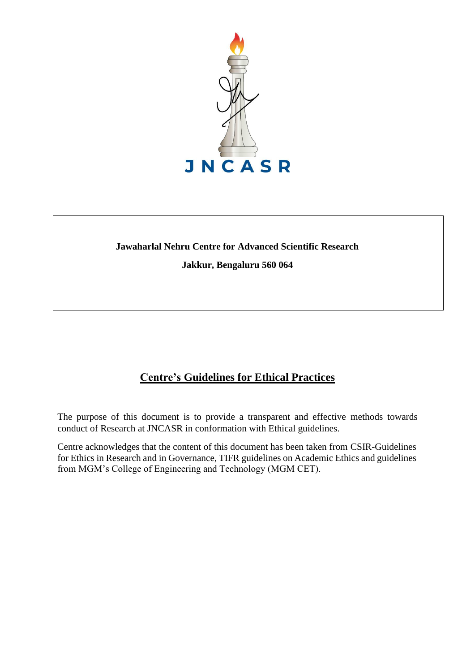

# **Jawaharlal Nehru Centre for Advanced Scientific Research Jakkur, Bengaluru 560 064**

# **Centre's Guidelines for Ethical Practices**

The purpose of this document is to provide a transparent and effective methods towards conduct of Research at JNCASR in conformation with Ethical guidelines.

Centre acknowledges that the content of this document has been taken from CSIR-Guidelines for Ethics in Research and in Governance, TIFR guidelines on Academic Ethics and guidelines from MGM's College of Engineering and Technology (MGM CET).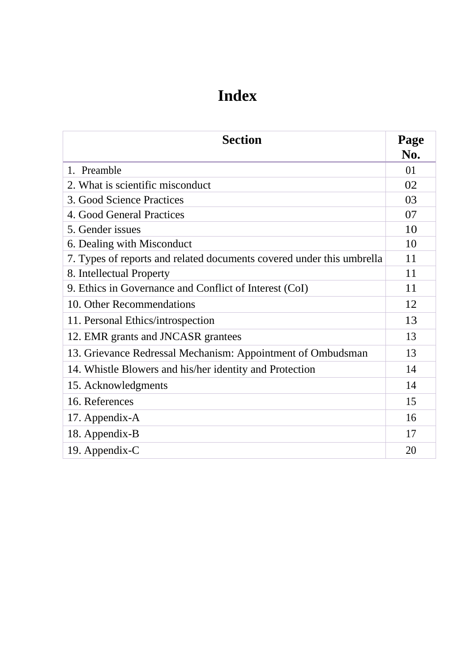# **Index**

| <b>Section</b>                                                        |    |  |
|-----------------------------------------------------------------------|----|--|
| 1. Preamble                                                           | 01 |  |
| 2. What is scientific misconduct                                      | 02 |  |
| 3. Good Science Practices                                             | 03 |  |
| 4. Good General Practices                                             | 07 |  |
| 5. Gender issues                                                      | 10 |  |
| 6. Dealing with Misconduct                                            | 10 |  |
| 7. Types of reports and related documents covered under this umbrella | 11 |  |
| 8. Intellectual Property                                              | 11 |  |
| 9. Ethics in Governance and Conflict of Interest (CoI)                | 11 |  |
| 10. Other Recommendations                                             | 12 |  |
| 11. Personal Ethics/introspection                                     |    |  |
| 12. EMR grants and JNCASR grantees                                    |    |  |
| 13. Grievance Redressal Mechanism: Appointment of Ombudsman           |    |  |
| 14. Whistle Blowers and his/her identity and Protection               |    |  |
| 15. Acknowledgments                                                   | 14 |  |
| 16. References                                                        | 15 |  |
| 17. Appendix-A                                                        | 16 |  |
| 18. Appendix-B                                                        | 17 |  |
| 19. Appendix-C                                                        | 20 |  |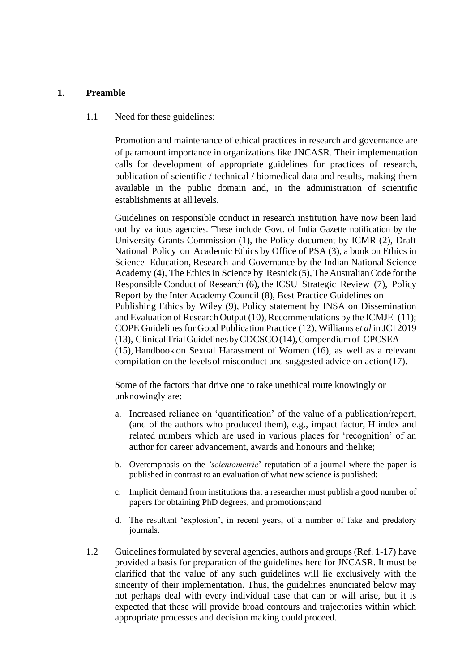#### **1. Preamble**

#### 1.1 Need for these guidelines:

Promotion and maintenance of ethical practices in research and governance are of paramount importance in organizations like JNCASR. Their implementation calls for development of appropriate guidelines for practices of research, publication of scientific / technical / biomedical data and results, making them available in the public domain and, in the administration of scientific establishments at all levels.

Guidelines on responsible conduct in research institution have now been laid out by various agencies. These include Govt. of India Gazette notification by the University Grants Commission (1), the Policy document by ICMR (2), Draft National Policy on Academic Ethics by Office of PSA (3), a book on Ethics in Science- Education, Research and Governance by the Indian National Science Academy (4), The Ethics in Science by Resnick  $(5)$ , The Australian Code for the Responsible Conduct of Research (6), the ICSU Strategic Review (7), Policy Report by the Inter Academy Council (8), Best Practice Guidelines on Publishing Ethics by Wiley (9), Policy statement by INSA on Dissemination and Evaluation of Research Output (10), Recommendations by the ICMJE (11); COPE Guidelinesfor Good Publication Practice (12), Williams *et al* in JCI 2019 (13), ClinicalTrialGuidelinesbyCDCSCO(14),Compendiumof CPCSEA (15), Handbook on Sexual Harassment of Women (16), as well as a relevant compilation on the levels of misconduct and suggested advice on action(17).

Some of the factors that drive one to take unethical route knowingly or unknowingly are:

- a. Increased reliance on 'quantification' of the value of a publication/report, (and of the authors who produced them), e.g., impact factor, H index and related numbers which are used in various places for 'recognition' of an author for career advancement, awards and honours and thelike;
- b. Overemphasis on the *'scientometric*' reputation of a journal where the paper is published in contrast to an evaluation of what new science is published;
- c. Implicit demand from institutions that a researcher must publish a good number of papers for obtaining PhD degrees, and promotions;and
- d. The resultant 'explosion', in recent years, of a number of fake and predatory journals.
- 1.2 Guidelines formulated by several agencies, authors and groups (Ref. 1-17) have provided a basis for preparation of the guidelines here for JNCASR. It must be clarified that the value of any such guidelines will lie exclusively with the sincerity of their implementation. Thus, the guidelines enunciated below may not perhaps deal with every individual case that can or will arise, but it is expected that these will provide broad contours and trajectories within which appropriate processes and decision making could proceed.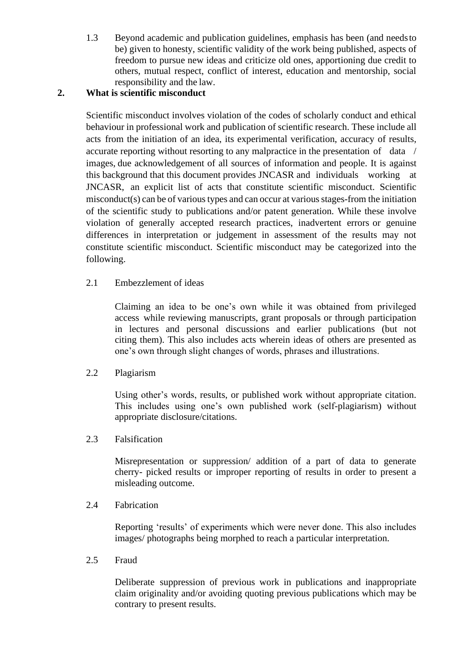1.3 Beyond academic and publication guidelines, emphasis has been (and needsto be) given to honesty, scientific validity of the work being published, aspects of freedom to pursue new ideas and criticize old ones, apportioning due credit to others, mutual respect, conflict of interest, education and mentorship, social responsibility and the law.

# **2. What is scientific misconduct**

Scientific misconduct involves violation of the codes of scholarly conduct and ethical behaviour in professional work and publication of scientific research. These include all acts from the initiation of an idea, its experimental verification, accuracy of results, accurate reporting without resorting to any malpractice in the presentation of data / images, due acknowledgement of all sources of information and people. It is against this background that this document provides JNCASR and individuals working at JNCASR, an explicit list of acts that constitute scientific misconduct. Scientific misconduct(s) can be of various types and can occur at various stages-from the initiation of the scientific study to publications and/or patent generation. While these involve violation of generally accepted research practices, inadvertent errors or genuine differences in interpretation or judgement in assessment of the results may not constitute scientific misconduct. Scientific misconduct may be categorized into the following.

2.1 Embezzlement of ideas

Claiming an idea to be one's own while it was obtained from privileged access while reviewing manuscripts, grant proposals or through participation in lectures and personal discussions and earlier publications (but not citing them). This also includes acts wherein ideas of others are presented as one's own through slight changes of words, phrases and illustrations.

2.2 Plagiarism

Using other's words, results, or published work without appropriate citation. This includes using one's own published work (self-plagiarism) without appropriate disclosure/citations.

2.3 Falsification

Misrepresentation or suppression/ addition of a part of data to generate cherry- picked results or improper reporting of results in order to present a misleading outcome.

2.4 Fabrication

Reporting 'results' of experiments which were never done. This also includes images/ photographs being morphed to reach a particular interpretation.

2.5 Fraud

Deliberate suppression of previous work in publications and inappropriate claim originality and/or avoiding quoting previous publications which may be contrary to present results.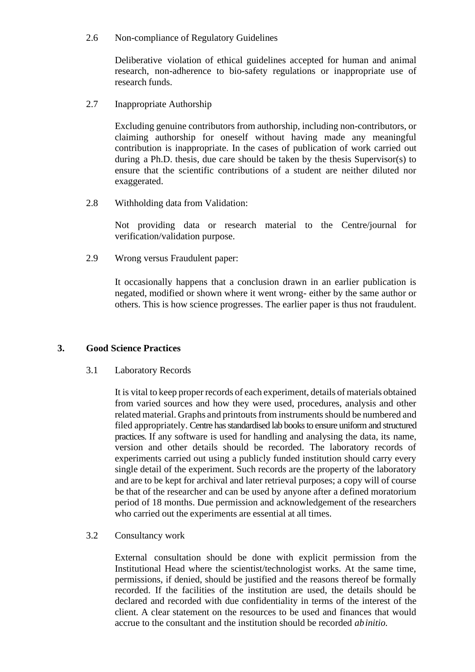2.6 Non-compliance of Regulatory Guidelines

Deliberative violation of ethical guidelines accepted for human and animal research, non-adherence to bio-safety regulations or inappropriate use of research funds.

2.7 Inappropriate Authorship

Excluding genuine contributors from authorship, including non-contributors, or claiming authorship for oneself without having made any meaningful contribution is inappropriate. In the cases of publication of work carried out during a Ph.D. thesis, due care should be taken by the thesis Supervisor(s) to ensure that the scientific contributions of a student are neither diluted nor exaggerated.

2.8 Withholding data from Validation:

Not providing data or research material to the Centre/journal for verification/validation purpose.

2.9 Wrong versus Fraudulent paper:

It occasionally happens that a conclusion drawn in an earlier publication is negated, modified or shown where it went wrong- either by the same author or others. This is how science progresses. The earlier paper is thus not fraudulent.

# **3. Good Science Practices**

3.1 Laboratory Records

It is vital to keep proper records of each experiment, details of materials obtained from varied sources and how they were used, procedures, analysis and other related material. Graphs and printouts from instruments should be numbered and filed appropriately. Centre has standardised lab books to ensure uniform and structured practices. If any software is used for handling and analysing the data, its name, version and other details should be recorded. The laboratory records of experiments carried out using a publicly funded institution should carry every single detail of the experiment. Such records are the property of the laboratory and are to be kept for archival and later retrieval purposes; a copy will of course be that of the researcher and can be used by anyone after a defined moratorium period of 18 months. Due permission and acknowledgement of the researchers who carried out the experiments are essential at all times.

3.2 Consultancy work

External consultation should be done with explicit permission from the Institutional Head where the scientist/technologist works. At the same time, permissions, if denied, should be justified and the reasons thereof be formally recorded. If the facilities of the institution are used, the details should be declared and recorded with due confidentiality in terms of the interest of the client. A clear statement on the resources to be used and finances that would accrue to the consultant and the institution should be recorded *abinitio.*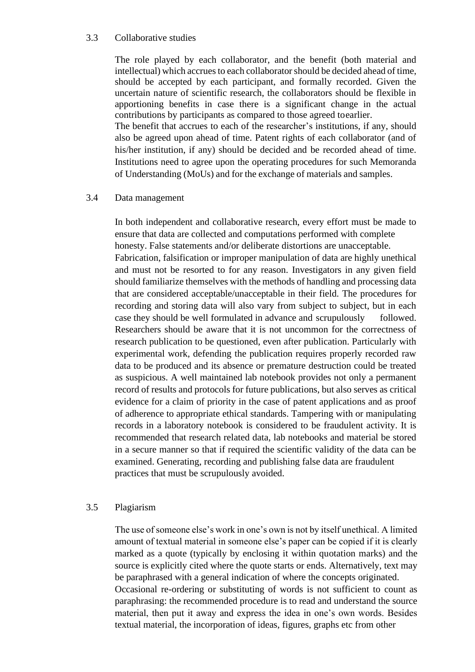#### 3.3 Collaborative studies

The role played by each collaborator, and the benefit (both material and intellectual) which accrues to each collaborator should be decided ahead of time, should be accepted by each participant, and formally recorded. Given the uncertain nature of scientific research, the collaborators should be flexible in apportioning benefits in case there is a significant change in the actual contributions by participants as compared to those agreed toearlier.

The benefit that accrues to each of the researcher's institutions, if any, should also be agreed upon ahead of time. Patent rights of each collaborator (and of his/her institution, if any) should be decided and be recorded ahead of time. Institutions need to agree upon the operating procedures for such Memoranda of Understanding (MoUs) and for the exchange of materials and samples.

#### 3.4 Data management

In both independent and collaborative research, every effort must be made to ensure that data are collected and computations performed with complete honesty. False statements and/or deliberate distortions are unacceptable. Fabrication, falsification or improper manipulation of data are highly unethical and must not be resorted to for any reason. Investigators in any given field should familiarize themselves with the methods of handling and processing data that are considered acceptable/unacceptable in their field. The procedures for recording and storing data will also vary from subject to subject, but in each case they should be well formulated in advance and scrupulously followed. Researchers should be aware that it is not uncommon for the correctness of research publication to be questioned, even after publication. Particularly with experimental work, defending the publication requires properly recorded raw data to be produced and its absence or premature destruction could be treated as suspicious. A well maintained lab notebook provides not only a permanent record of results and protocols for future publications, but also serves as critical evidence for a claim of priority in the case of patent applications and as proof of adherence to appropriate ethical standards. Tampering with or manipulating records in a laboratory notebook is considered to be fraudulent activity. It is recommended that research related data, lab notebooks and material be stored in a secure manner so that if required the scientific validity of the data can be examined. Generating, recording and publishing false data are fraudulent practices that must be scrupulously avoided.

#### 3.5 Plagiarism

The use of someone else's work in one's own is not by itself unethical. A limited amount of textual material in someone else's paper can be copied if it is clearly marked as a quote (typically by enclosing it within quotation marks) and the source is explicitly cited where the quote starts or ends. Alternatively, text may be paraphrased with a general indication of where the concepts originated. Occasional re-ordering or substituting of words is not sufficient to count as paraphrasing: the recommended procedure is to read and understand the source material, then put it away and express the idea in one's own words. Besides textual material, the incorporation of ideas, figures, graphs etc from other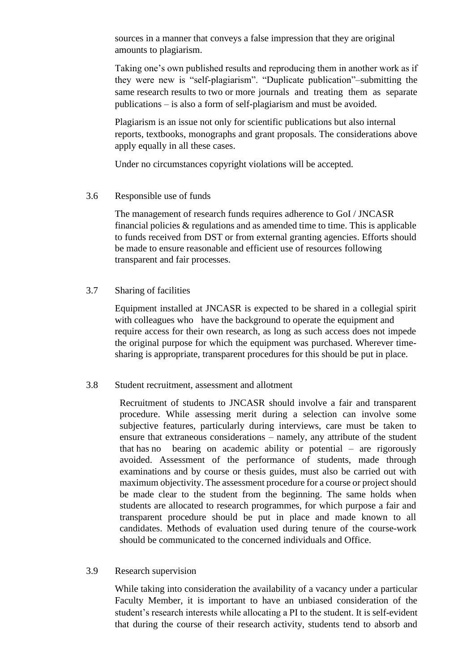sources in a manner that conveys a false impression that they are original amounts to plagiarism.

 Taking one's own published results and reproducing them in another work as if they were new is "self-plagiarism". "Duplicate publication"–submitting the same research results to two or more journals and treating them as separate publications – is also a form of self-plagiarism and must be avoided.

 Plagiarism is an issue not only for scientific publications but also internal reports, textbooks, monographs and grant proposals. The considerations above apply equally in all these cases.

Under no circumstances copyright violations will be accepted.

#### 3.6 Responsible use of funds

The management of research funds requires adherence to GoI / JNCASR financial policies  $\&$  regulations and as amended time to time. This is applicable to funds received from DST or from external granting agencies. Efforts should be made to ensure reasonable and efficient use of resources following transparent and fair processes.

#### 3.7 Sharing of facilities

Equipment installed at JNCASR is expected to be shared in a collegial spirit with colleagues who have the background to operate the equipment and require access for their own research, as long as such access does not impede the original purpose for which the equipment was purchased. Wherever timesharing is appropriate, transparent procedures for this should be put in place.

#### 3.8 Student recruitment, assessment and allotment

Recruitment of students to JNCASR should involve a fair and transparent procedure. While assessing merit during a selection can involve some subjective features, particularly during interviews, care must be taken to ensure that extraneous considerations – namely, any attribute of the student that has no bearing on academic ability or potential – are rigorously avoided. Assessment of the performance of students, made through examinations and by course or thesis guides, must also be carried out with maximum objectivity. The assessment procedure for a course or project should be made clear to the student from the beginning. The same holds when students are allocated to research programmes, for which purpose a fair and transparent procedure should be put in place and made known to all candidates. Methods of evaluation used during tenure of the course-work should be communicated to the concerned individuals and Office.

#### 3.9 Research supervision

While taking into consideration the availability of a vacancy under a particular Faculty Member, it is important to have an unbiased consideration of the student's research interests while allocating a PI to the student. It is self-evident that during the course of their research activity, students tend to absorb and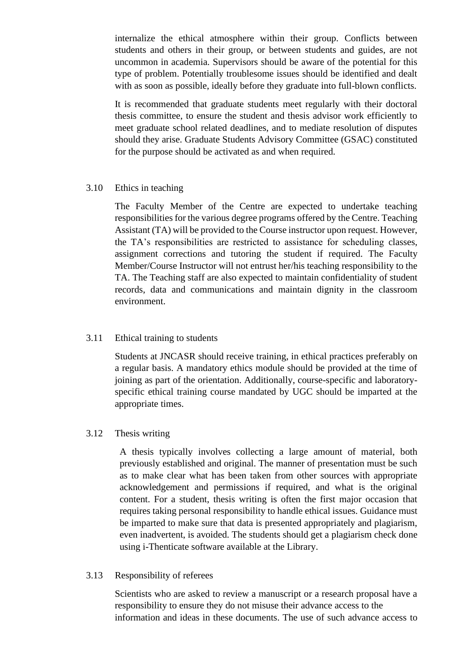internalize the ethical atmosphere within their group. Conflicts between students and others in their group, or between students and guides, are not uncommon in academia. Supervisors should be aware of the potential for this type of problem. Potentially troublesome issues should be identified and dealt with as soon as possible, ideally before they graduate into full-blown conflicts.

It is recommended that graduate students meet regularly with their doctoral thesis committee, to ensure the student and thesis advisor work efficiently to meet graduate school related deadlines, and to mediate resolution of disputes should they arise. Graduate Students Advisory Committee (GSAC) constituted for the purpose should be activated as and when required.

#### 3.10 Ethics in teaching

The Faculty Member of the Centre are expected to undertake teaching responsibilities for the various degree programs offered by the Centre. Teaching Assistant (TA) will be provided to the Course instructor upon request. However, the TA's responsibilities are restricted to assistance for scheduling classes, assignment corrections and tutoring the student if required. The Faculty Member/Course Instructor will not entrust her/his teaching responsibility to the TA. The Teaching staff are also expected to maintain confidentiality of student records, data and communications and maintain dignity in the classroom environment.

#### 3.11 Ethical training to students

Students at JNCASR should receive training, in ethical practices preferably on a regular basis. A mandatory ethics module should be provided at the time of joining as part of the orientation. Additionally, course-specific and laboratoryspecific ethical training course mandated by UGC should be imparted at the appropriate times.

#### 3.12 Thesis writing

A thesis typically involves collecting a large amount of material, both previously established and original. The manner of presentation must be such as to make clear what has been taken from other sources with appropriate acknowledgement and permissions if required, and what is the original content. For a student, thesis writing is often the first major occasion that requires taking personal responsibility to handle ethical issues. Guidance must be imparted to make sure that data is presented appropriately and plagiarism, even inadvertent, is avoided. The students should get a plagiarism check done using i-Thenticate software available at the Library.

#### 3.13 Responsibility of referees

Scientists who are asked to review a manuscript or a research proposal have a responsibility to ensure they do not misuse their advance access to the information and ideas in these documents. The use of such advance access to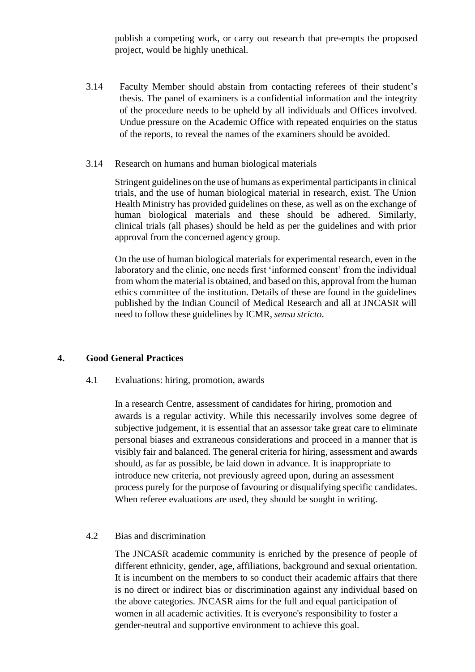publish a competing work, or carry out research that pre-empts the proposed project, would be highly unethical.

- 3.14 Faculty Member should abstain from contacting referees of their student's thesis. The panel of examiners is a confidential information and the integrity of the procedure needs to be upheld by all individuals and Offices involved. Undue pressure on the Academic Office with repeated enquiries on the status of the reports, to reveal the names of the examiners should be avoided.
- 3.14 Research on humans and human biological materials

Stringent guidelines on the use of humans as experimental participants in clinical trials, and the use of human biological material in research, exist. The Union Health Ministry has provided guidelines on these, as well as on the exchange of human biological materials and these should be adhered. Similarly, clinical trials (all phases) should be held as per the guidelines and with prior approval from the concerned agency group.

On the use of human biological materials for experimental research, even in the laboratory and the clinic, one needs first 'informed consent' from the individual from whom the material is obtained, and based on this, approval from the human ethics committee of the institution. Details of these are found in the guidelines published by the Indian Council of Medical Research and all at JNCASR will need to follow these guidelines by ICMR,*sensu stricto*.

#### **4. Good General Practices**

#### 4.1 Evaluations: hiring, promotion, awards

In a research Centre, assessment of candidates for hiring, promotion and awards is a regular activity. While this necessarily involves some degree of subjective judgement, it is essential that an assessor take great care to eliminate personal biases and extraneous considerations and proceed in a manner that is visibly fair and balanced. The general criteria for hiring, assessment and awards should, as far as possible, be laid down in advance. It is inappropriate to introduce new criteria, not previously agreed upon, during an assessment process purely for the purpose of favouring or disqualifying specific candidates. When referee evaluations are used, they should be sought in writing.

#### 4.2 Bias and discrimination

The JNCASR academic community is enriched by the presence of people of different ethnicity, gender, age, affiliations, background and sexual orientation. It is incumbent on the members to so conduct their academic affairs that there is no direct or indirect bias or discrimination against any individual based on the above categories. JNCASR aims for the full and equal participation of women in all academic activities. It is everyone's responsibility to foster a gender-neutral and supportive environment to achieve this goal.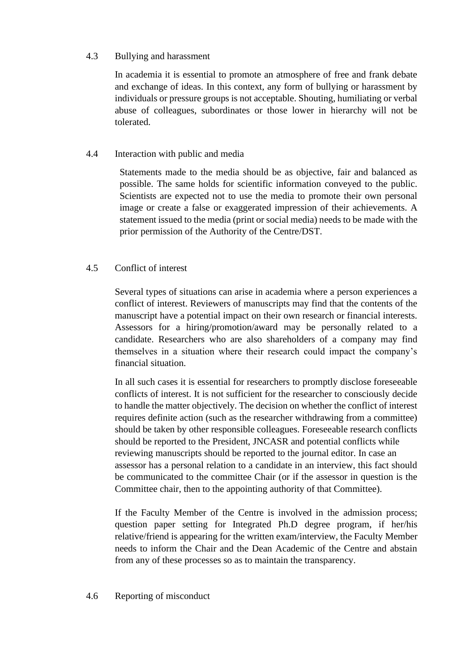# 4.3 Bullying and harassment

In academia it is essential to promote an atmosphere of free and frank debate and exchange of ideas. In this context, any form of bullying or harassment by individuals or pressure groups is not acceptable. Shouting, humiliating or verbal abuse of colleagues, subordinates or those lower in hierarchy will not be tolerated.

## 4.4 Interaction with public and media

Statements made to the media should be as objective, fair and balanced as possible. The same holds for scientific information conveyed to the public. Scientists are expected not to use the media to promote their own personal image or create a false or exaggerated impression of their achievements. A statement issued to the media (print or social media) needs to be made with the prior permission of the Authority of the Centre/DST.

# 4.5 Conflict of interest

Several types of situations can arise in academia where a person experiences a conflict of interest. Reviewers of manuscripts may find that the contents of the manuscript have a potential impact on their own research or financial interests. Assessors for a hiring/promotion/award may be personally related to a candidate. Researchers who are also shareholders of a company may find themselves in a situation where their research could impact the company's financial situation.

In all such cases it is essential for researchers to promptly disclose foreseeable conflicts of interest. It is not sufficient for the researcher to consciously decide to handle the matter objectively. The decision on whether the conflict of interest requires definite action (such as the researcher withdrawing from a committee) should be taken by other responsible colleagues. Foreseeable research conflicts should be reported to the President, JNCASR and potential conflicts while reviewing manuscripts should be reported to the journal editor. In case an assessor has a personal relation to a candidate in an interview, this fact should be communicated to the committee Chair (or if the assessor in question is the Committee chair, then to the appointing authority of that Committee).

If the Faculty Member of the Centre is involved in the admission process; question paper setting for Integrated Ph.D degree program, if her/his relative/friend is appearing for the written exam/interview, the Faculty Member needs to inform the Chair and the Dean Academic of the Centre and abstain from any of these processes so as to maintain the transparency.

# 4.6 Reporting of misconduct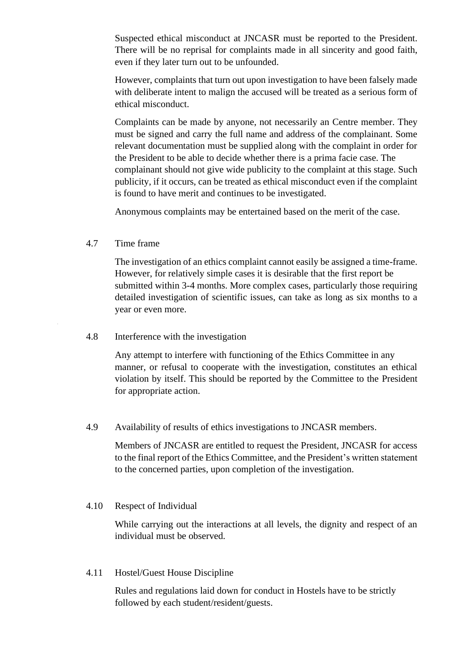Suspected ethical misconduct at JNCASR must be reported to the President. There will be no reprisal for complaints made in all sincerity and good faith, even if they later turn out to be unfounded.

However, complaints that turn out upon investigation to have been falsely made with deliberate intent to malign the accused will be treated as a serious form of ethical misconduct.

Complaints can be made by anyone, not necessarily an Centre member. They must be signed and carry the full name and address of the complainant. Some relevant documentation must be supplied along with the complaint in order for the President to be able to decide whether there is a prima facie case. The complainant should not give wide publicity to the complaint at this stage. Such publicity, if it occurs, can be treated as ethical misconduct even if the complaint is found to have merit and continues to be investigated.

Anonymous complaints may be entertained based on the merit of the case.

#### 4.7 Time frame

The investigation of an ethics complaint cannot easily be assigned a time-frame. However, for relatively simple cases it is desirable that the first report be submitted within 3-4 months. More complex cases, particularly those requiring detailed investigation of scientific issues, can take as long as six months to a year or even more.

#### 4.8 Interference with the investigation

Any attempt to interfere with functioning of the Ethics Committee in any manner, or refusal to cooperate with the investigation, constitutes an ethical violation by itself. This should be reported by the Committee to the President for appropriate action.

#### 4.9 Availability of results of ethics investigations to JNCASR members.

Members of JNCASR are entitled to request the President, JNCASR for access to the final report of the Ethics Committee, and the President's written statement to the concerned parties, upon completion of the investigation.

#### 4.10 Respect of Individual

While carrying out the interactions at all levels, the dignity and respect of an individual must be observed.

#### 4.11 Hostel/Guest House Discipline

Rules and regulations laid down for conduct in Hostels have to be strictly followed by each student/resident/guests.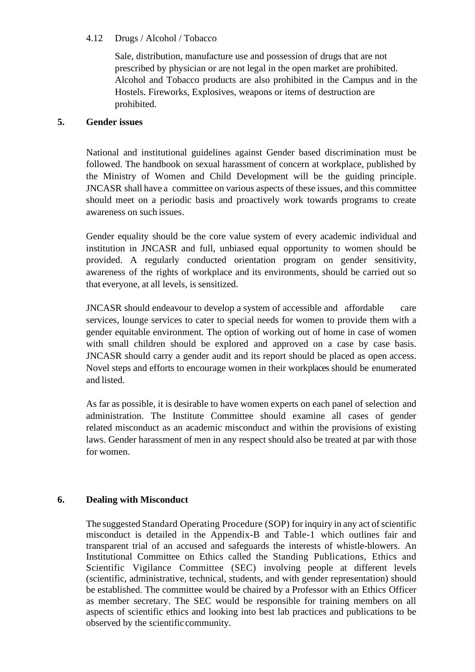# 4.12 Drugs / Alcohol / Tobacco

Sale, distribution, manufacture use and possession of drugs that are not prescribed by physician or are not legal in the open market are prohibited. Alcohol and Tobacco products are also prohibited in the Campus and in the Hostels. Fireworks, Explosives, weapons or items of destruction are prohibited.

## **5. Gender issues**

National and institutional guidelines against Gender based discrimination must be followed. The handbook on sexual harassment of concern at workplace, published by the Ministry of Women and Child Development will be the guiding principle. JNCASR shall have a committee on various aspects of these issues, and this committee should meet on a periodic basis and proactively work towards programs to create awareness on such issues.

Gender equality should be the core value system of every academic individual and institution in JNCASR and full, unbiased equal opportunity to women should be provided. A regularly conducted orientation program on gender sensitivity, awareness of the rights of workplace and its environments, should be carried out so that everyone, at all levels, is sensitized.

JNCASR should endeavour to develop a system of accessible and affordable care services, lounge services to cater to special needs for women to provide them with a gender equitable environment. The option of working out of home in case of women with small children should be explored and approved on a case by case basis. JNCASR should carry a gender audit and its report should be placed as open access. Novel steps and efforts to encourage women in their workplaces should be enumerated and listed.

As far as possible, it is desirable to have women experts on each panel of selection and administration. The Institute Committee should examine all cases of gender related misconduct as an academic misconduct and within the provisions of existing laws. Gender harassment of men in any respect should also be treated at par with those for women.

# **6. Dealing with Misconduct**

The suggested Standard Operating Procedure (SOP) for inquiry in any act of scientific misconduct is detailed in the Appendix-B and Table-1 which outlines fair and transparent trial of an accused and safeguards the interests of whistle-blowers. An Institutional Committee on Ethics called the Standing Publications, Ethics and Scientific Vigilance Committee (SEC) involving people at different levels (scientific, administrative, technical, students, and with gender representation) should be established. The committee would be chaired by a Professor with an Ethics Officer as member secretary. The SEC would be responsible for training members on all aspects of scientific ethics and looking into best lab practices and publications to be observed by the scientificcommunity.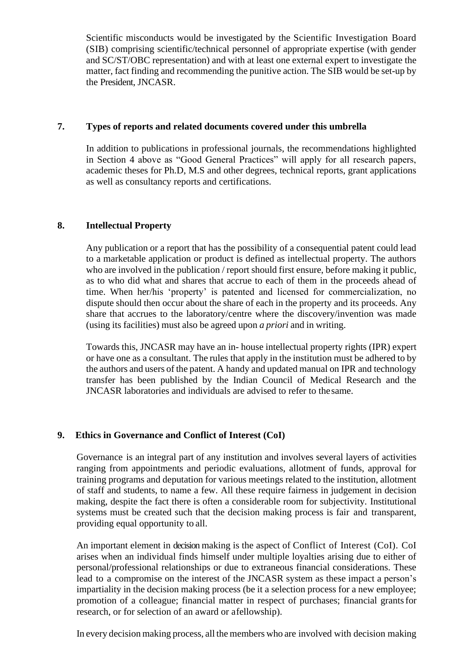Scientific misconducts would be investigated by the Scientific Investigation Board (SIB) comprising scientific/technical personnel of appropriate expertise (with gender and SC/ST/OBC representation) and with at least one external expert to investigate the matter, fact finding and recommending the punitive action. The SIB would be set-up by the President, JNCASR.

# **7. Types of reports and related documents covered under this umbrella**

In addition to publications in professional journals, the recommendations highlighted in Section 4 above as "Good General Practices" will apply for all research papers, academic theses for Ph.D, M.S and other degrees, technical reports, grant applications as well as consultancy reports and certifications.

## **8. Intellectual Property**

Any publication or a report that has the possibility of a consequential patent could lead to a marketable application or product is defined as intellectual property. The authors who are involved in the publication / report should first ensure, before making it public, as to who did what and shares that accrue to each of them in the proceeds ahead of time. When her/his 'property' is patented and licensed for commercialization, no dispute should then occur about the share of each in the property and its proceeds. Any share that accrues to the laboratory/centre where the discovery/invention was made (using its facilities) must also be agreed upon *a priori* and in writing.

Towards this, JNCASR may have an in- house intellectual property rights (IPR) expert or have one as a consultant. The rules that apply in the institution must be adhered to by the authors and users of the patent. A handy and updated manual on IPR and technology transfer has been published by the Indian Council of Medical Research and the JNCASR laboratories and individuals are advised to refer to thesame.

# **9. Ethics in Governance and Conflict of Interest (CoI)**

Governance is an integral part of any institution and involves several layers of activities ranging from appointments and periodic evaluations, allotment of funds, approval for training programs and deputation for various meetings related to the institution, allotment of staff and students, to name a few. All these require fairness in judgement in decision making, despite the fact there is often a considerable room for subjectivity. Institutional systems must be created such that the decision making process is fair and transparent, providing equal opportunity to all.

An important element in decision making is the aspect of Conflict of Interest (CoI). CoI arises when an individual finds himself under multiple loyalties arising due to either of personal/professional relationships or due to extraneous financial considerations. These lead to a compromise on the interest of the JNCASR system as these impact a person's impartiality in the decision making process (be it a selection process for a new employee; promotion of a colleague; financial matter in respect of purchases; financial grantsfor research, or for selection of an award or afellowship).

In every decision making process, all the members who are involved with decision making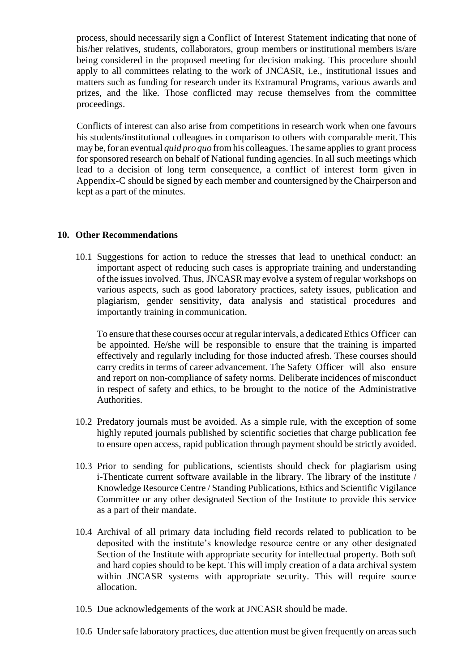process, should necessarily sign a Conflict of Interest Statement indicating that none of his/her relatives, students, collaborators, group members or institutional members is/are being considered in the proposed meeting for decision making. This procedure should apply to all committees relating to the work of JNCASR, i.e., institutional issues and matters such as funding for research under its Extramural Programs, various awards and prizes, and the like. Those conflicted may recuse themselves from the committee proceedings.

Conflicts of interest can also arise from competitions in research work when one favours his students/institutional colleagues in comparison to others with comparable merit. This may be,for an eventual *quid pro quo* fromhis colleagues.The same applies to grant process forsponsored research on behalf of National funding agencies. In all such meetings which lead to a decision of long term consequence, a conflict of interest form given in Appendix-C should be signed by each member and countersigned by the Chairperson and kept as a part of the minutes.

#### **10. Other Recommendations**

10.1 Suggestions for action to reduce the stresses that lead to unethical conduct: an important aspect of reducing such cases is appropriate training and understanding of the issuesinvolved. Thus, JNCASR may evolve a system of regular workshops on various aspects, such as good laboratory practices, safety issues, publication and plagiarism, gender sensitivity, data analysis and statistical procedures and importantly training in communication.

To ensure that these courses occur atregularintervals, a dedicated Ethics Officer can be appointed. He/she will be responsible to ensure that the training is imparted effectively and regularly including for those inducted afresh. These courses should carry credits in terms of career advancement. The Safety Officer will also ensure and report on non-compliance of safety norms. Deliberate incidences of misconduct in respect of safety and ethics, to be brought to the notice of the Administrative Authorities.

- 10.2 Predatory journals must be avoided. As a simple rule, with the exception of some highly reputed journals published by scientific societies that charge publication fee to ensure open access, rapid publication through payment should be strictly avoided.
- 10.3 Prior to sending for publications, scientists should check for plagiarism using i-Thenticate current software available in the library. The library of the institute / Knowledge Resource Centre / Standing Publications, Ethics and Scientific Vigilance Committee or any other designated Section of the Institute to provide this service as a part of their mandate.
- 10.4 Archival of all primary data including field records related to publication to be deposited with the institute's knowledge resource centre or any other designated Section of the Institute with appropriate security for intellectual property. Both soft and hard copies should to be kept. This will imply creation of a data archival system within JNCASR systems with appropriate security. This will require source allocation.
- 10.5 Due acknowledgements of the work at JNCASR should be made.
- 10.6 Under safe laboratory practices, due attention must be given frequently on areas such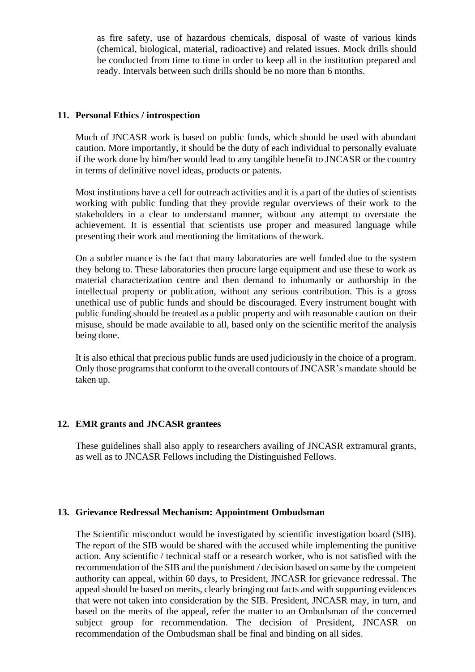as fire safety, use of hazardous chemicals, disposal of waste of various kinds (chemical, biological, material, radioactive) and related issues. Mock drills should be conducted from time to time in order to keep all in the institution prepared and ready. Intervals between such drills should be no more than 6 months.

#### **11. Personal Ethics / introspection**

Much of JNCASR work is based on public funds, which should be used with abundant caution. More importantly, it should be the duty of each individual to personally evaluate if the work done by him/her would lead to any tangible benefit to JNCASR or the country in terms of definitive novel ideas, products or patents.

Most institutions have a cell for outreach activities and it is a part of the duties of scientists working with public funding that they provide regular overviews of their work to the stakeholders in a clear to understand manner, without any attempt to overstate the achievement. It is essential that scientists use proper and measured language while presenting their work and mentioning the limitations of thework.

On a subtler nuance is the fact that many laboratories are well funded due to the system they belong to. These laboratories then procure large equipment and use these to work as material characterization centre and then demand to inhumanly or authorship in the intellectual property or publication, without any serious contribution. This is a gross unethical use of public funds and should be discouraged. Every instrument bought with public funding should be treated as a public property and with reasonable caution on their misuse, should be made available to all, based only on the scientific meritof the analysis being done.

It is also ethical that precious public funds are used judiciously in the choice of a program. Only those programs that conform to the overall contours of JNCASR's mandate should be taken up.

#### **12. EMR grants and JNCASR grantees**

These guidelines shall also apply to researchers availing of JNCASR extramural grants, as well as to JNCASR Fellows including the Distinguished Fellows.

#### **13. Grievance Redressal Mechanism: Appointment Ombudsman**

The Scientific misconduct would be investigated by scientific investigation board (SIB). The report of the SIB would be shared with the accused while implementing the punitive action. Any scientific / technical staff or a research worker, who is not satisfied with the recommendation of the SIB and the punishment / decision based on same by the competent authority can appeal, within 60 days, to President, JNCASR for grievance redressal. The appeal should be based on merits, clearly bringing out facts and with supporting evidences that were not taken into consideration by the SIB. President, JNCASR may, in turn, and based on the merits of the appeal, refer the matter to an Ombudsman of the concerned subject group for recommendation. The decision of President, JNCASR on recommendation of the Ombudsman shall be final and binding on all sides.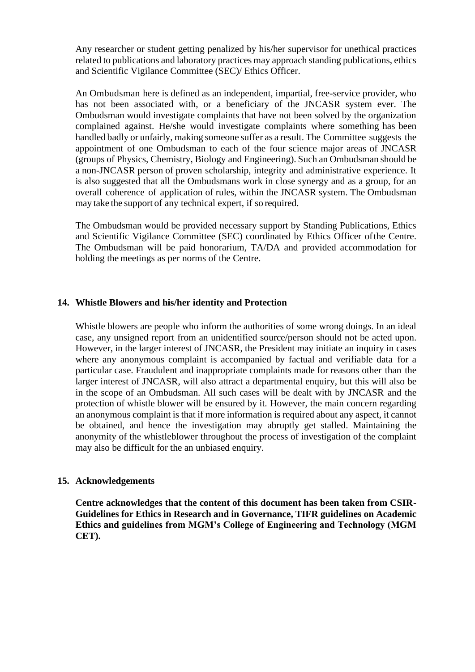Any researcher or student getting penalized by his/her supervisor for unethical practices related to publications and laboratory practices may approach standing publications, ethics and Scientific Vigilance Committee (SEC)/ Ethics Officer.

An Ombudsman here is defined as an independent, impartial, free-service provider, who has not been associated with, or a beneficiary of the JNCASR system ever. The Ombudsman would investigate complaints that have not been solved by the organization complained against. He/she would investigate complaints where something has been handled badly or unfairly, making someone suffer as a result. The Committee suggests the appointment of one Ombudsman to each of the four science major areas of JNCASR (groups of Physics, Chemistry, Biology and Engineering). Such an Ombudsman should be a non-JNCASR person of proven scholarship, integrity and administrative experience. It is also suggested that all the Ombudsmans work in close synergy and as a group, for an overall coherence of application of rules, within the JNCASR system. The Ombudsman may take the support of any technical expert, if so required.

The Ombudsman would be provided necessary support by Standing Publications, Ethics and Scientific Vigilance Committee (SEC) coordinated by Ethics Officer ofthe Centre. The Ombudsman will be paid honorarium, TA/DA and provided accommodation for holding the meetings as per norms of the Centre.

#### **14. Whistle Blowers and his/her identity and Protection**

Whistle blowers are people who inform the authorities of some wrong doings. In an ideal case, any unsigned report from an unidentified source/person should not be acted upon. However, in the larger interest of JNCASR, the President may initiate an inquiry in cases where any anonymous complaint is accompanied by factual and verifiable data for a particular case. Fraudulent and inappropriate complaints made for reasons other than the larger interest of JNCASR, will also attract a departmental enquiry, but this will also be in the scope of an Ombudsman. All such cases will be dealt with by JNCASR and the protection of whistle blower will be ensured by it. However, the main concern regarding an anonymous complaint is that if more information is required about any aspect, it cannot be obtained, and hence the investigation may abruptly get stalled. Maintaining the anonymity of the whistleblower throughout the process of investigation of the complaint may also be difficult for the an unbiased enquiry.

#### **15. Acknowledgements**

**Centre acknowledges that the content of this document has been taken from CSIR-Guidelines for Ethics in Research and in Governance, TIFR guidelines on Academic Ethics and guidelines from MGM's College of Engineering and Technology (MGM CET).**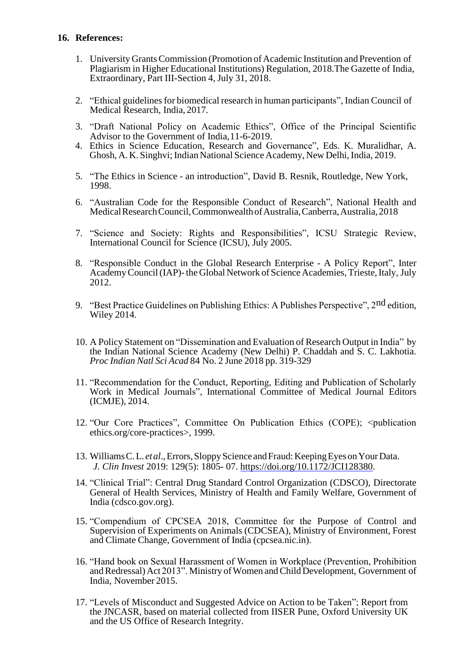#### **16. References:**

- 1. University GrantsCommission (Promotion of Academic Institution and Prevention of Plagiarism in Higher Educational Institutions) Regulation, 2018.The Gazette of India, Extraordinary, Part III-Section 4, July 31, 2018.
- 2. "Ethical guidelines for biomedical research in human participants", Indian Council of Medical Research, India, 2017.
- 3. "Draft National Policy on Academic Ethics", Office of the Principal Scientific Advisor to the Government of India,11-6-2019.
- 4. Ethics in Science Education, Research and Governance", Eds. K. Muralidhar, A. Ghosh, A. K. Singhvi; Indian National Science Academy, New Delhi, India, 2019.
- 5. "The Ethics in Science an introduction", David B. Resnik, Routledge, New York, 1998.
- 6. "Australian Code for the Responsible Conduct of Research", National Health and Medical Research Council, Commonwealth of Australia, Canberra, Australia, 2018
- 7. "Science and Society: Rights and Responsibilities", ICSU Strategic Review, International Council for Science (ICSU), July 2005.
- 8. "Responsible Conduct in the Global Research Enterprise A Policy Report", Inter Academy Council (IAP)- the Global Network of Science Academies, Trieste, Italy, July 2012.
- 9. "Best Practice Guidelines on Publishing Ethics: A Publishes Perspective", 2<sup>nd</sup> edition. Wiley 2014.
- 10. A Policy Statement on "Dissemination and Evaluation of Research Output in India" by the Indian National Science Academy (New Delhi) P. Chaddah and S. C. Lakhotia. *Proc Indian Natl Sci Acad* 84 No. 2 June 2018 pp. 319-329
- 11. "Recommendation for the Conduct, Reporting, Editing and Publication of Scholarly Work in Medical Journals", International Committee of Medical Journal Editors (ICMJE), 2014.
- 12. "Our Core Practices", Committee On Publication Ethics (COPE); <publication ethics.org/core-practices>, 1999.
- 13. WilliamsC.L. *etal*.,Errors,SloppyScience andFraud:KeepingEyesonYourData. *J. Clin Invest* 2019: 129(5): 1805- 07. https://doi.org/10.1172/JCI128380.
- 14. "Clinical Trial": Central Drug Standard Control Organization (CDSCO), Directorate General of Health Services, Ministry of Health and Family Welfare, Government of India (cdsco.gov.org).
- 15. "Compendium of CPCSEA 2018, Committee for the Purpose of Control and Supervision of Experiments on Animals (CDCSEA), Ministry of Environment, Forest and Climate Change, Government of India (cpcsea.nic.in).
- 16. "Hand book on Sexual Harassment of Women in Workplace (Prevention, Prohibition and Redressal) Act 2013". Ministry of Women and Child Development, Government of India, November 2015.
- 17. "Levels of Misconduct and Suggested Advice on Action to be Taken"; Report from the JNCASR, based on material collected from IISER Pune, Oxford University UK and the US Office of Research Integrity.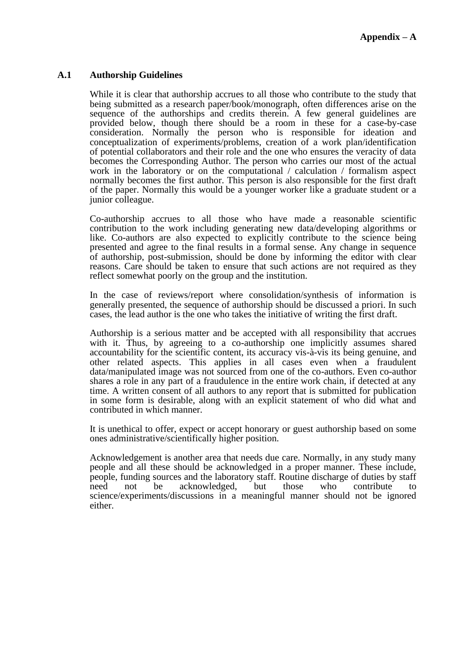#### **A.1 Authorship Guidelines**

While it is clear that authorship accrues to all those who contribute to the study that being submitted as a research paper/book/monograph, often differences arise on the sequence of the authorships and credits therein. A few general guidelines are provided below, though there should be a room in these for a case-by-case consideration. Normally the person who is responsible for ideation and conceptualization of experiments/problems, creation of a work plan/identification of potential collaborators and their role and the one who ensures the veracity of data becomes the Corresponding Author. The person who carries our most of the actual work in the laboratory or on the computational / calculation / formalism aspect normally becomes the first author. This person is also responsible for the first draft of the paper. Normally this would be a younger worker like a graduate student or a junior colleague.

Co-authorship accrues to all those who have made a reasonable scientific contribution to the work including generating new data/developing algorithms or like. Co-authors are also expected to explicitly contribute to the science being presented and agree to the final results in a formal sense. Any change in sequence of authorship, post-submission, should be done by informing the editor with clear reasons. Care should be taken to ensure that such actions are not required as they reflect somewhat poorly on the group and the institution.

In the case of reviews/report where consolidation/synthesis of information is generally presented, the sequence of authorship should be discussed a priori. In such cases, the lead author is the one who takes the initiative of writing the first draft.

Authorship is a serious matter and be accepted with all responsibility that accrues with it. Thus, by agreeing to a co-authorship one implicitly assumes shared accountability for the scientific content, its accuracy vis-à-vis its being genuine, and other related aspects. This applies in all cases even when a fraudulent data/manipulated image was not sourced from one of the co-authors. Even co-author shares a role in any part of a fraudulence in the entire work chain, if detected at any time. A written consent of all authors to any report that is submitted for publication in some form is desirable, along with an explicit statement of who did what and contributed in which manner.

It is unethical to offer, expect or accept honorary or guest authorship based on some ones administrative/scientifically higher position.

Acknowledgement is another area that needs due care. Normally, in any study many people and all these should be acknowledged in a proper manner. These include, people, funding sources and the laboratory staff. Routine discharge of duties by staff<br>need not be acknowledged. but those who contribute to need not be acknowledged, but those who contribute to science/experiments/discussions in a meaningful manner should not be ignored either.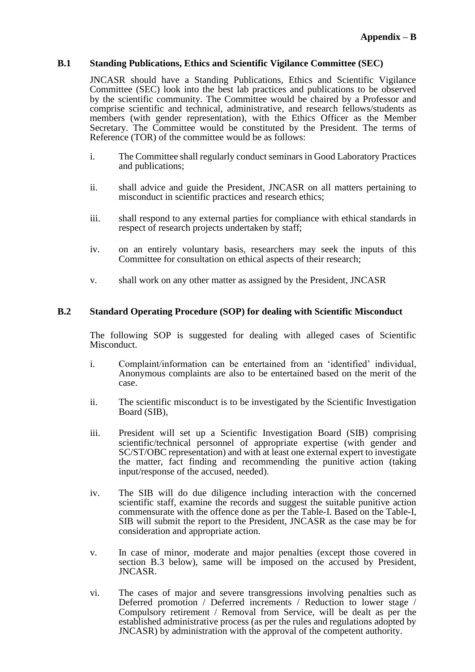#### **B.1 Standing Publications, Ethics and Scientific Vigilance Committee (SEC)**

JNCASR should have a Standing Publications, Ethics and Scientific Vigilance Committee (SEC) look into the best lab practices and publications to be observed by the scientific community. The Committee would be chaired by a Professor and comprise scientific and technical, administrative, and research fellows/students as members (with gender representation), with the Ethics Officer as the Member Secretary. The Committee would be constituted by the President. The terms of Reference (TOR) of the committee would be as follows:

- i. The Committee shall regularly conduct seminars in Good Laboratory Practices and publications;
- ii. shall advice and guide the President, JNCASR on all matters pertaining to misconduct in scientific practices and research ethics;
- iii. shall respond to any external parties for compliance with ethical standards in respect of research projects undertaken by staff;
- iv. on an entirely voluntary basis, researchers may seek the inputs of this Committee for consultation on ethical aspects of their research;
- v. shall work on any other matter as assigned by the President, JNCASR

#### **B.2 Standard Operating Procedure (SOP) for dealing with Scientific Misconduct**

The following SOP is suggested for dealing with alleged cases of Scientific Misconduct.

- i. Complaint/information can be entertained from an 'identified' individual, Anonymous complaints are also to be entertained based on the merit of the case.
- ii. The scientific misconduct is to be investigated by the Scientific Investigation Board (SIB),
- iii. President will set up a Scientific Investigation Board (SIB) comprising scientific/technical personnel of appropriate expertise (with gender and SC/ST/OBC representation) and with at least one external expert to investigate the matter, fact finding and recommending the punitive action (taking input/response of the accused, needed).
- iv. The SIB will do due diligence including interaction with the concerned scientific staff, examine the records and suggest the suitable punitive action commensurate with the offence done as per the Table-I. Based on the Table-I, SIB will submit the report to the President, JNCASR as the case may be for consideration and appropriate action.
- v. In case of minor, moderate and major penalties (except those covered in section B.3 below), same will be imposed on the accused by President, JNCASR.
- vi. The cases of major and severe transgressions involving penalties such as Deferred promotion / Deferred increments / Reduction to lower stage / Compulsory retirement / Removal from Service, will be dealt as per the established administrative process (as per the rules and regulations adopted by JNCASR) by administration with the approval of the competent authority.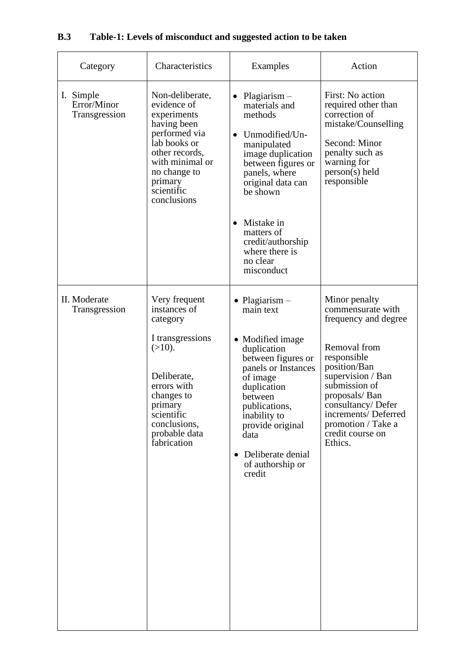# **B.3 Table-1: Levels of misconduct and suggested action to be taken**

| Category                                  | Characteristics                                                                                                                                                                                 | Examples                                                                                                                                                                                                                                                            | Action                                                                                                                                                                                                                                                            |
|-------------------------------------------|-------------------------------------------------------------------------------------------------------------------------------------------------------------------------------------------------|---------------------------------------------------------------------------------------------------------------------------------------------------------------------------------------------------------------------------------------------------------------------|-------------------------------------------------------------------------------------------------------------------------------------------------------------------------------------------------------------------------------------------------------------------|
| I. Simple<br>Error/Minor<br>Transgression | Non-deliberate,<br>evidence of<br>experiments<br>having been<br>performed via<br>lab books or<br>other records,<br>with minimal or<br>no change to<br>primary<br>scientific<br>conclusions      | $Plagiarism -$<br>materials and<br>methods<br>Unmodified/Un-<br>manipulated<br>image duplication<br>between figures or<br>panels, where<br>original data can<br>be shown                                                                                            | First: No action<br>required other than<br>correction of<br>mistake/Counselling<br>Second: Minor<br>penalty such as<br>warning for<br>$person(s)$ held<br>responsible                                                                                             |
|                                           |                                                                                                                                                                                                 | Mistake in<br>matters of<br>credit/authorship<br>where there is<br>no clear<br>misconduct                                                                                                                                                                           |                                                                                                                                                                                                                                                                   |
| II. Moderate<br>Transgression             | Very frequent<br>instances of<br>category<br>I transgressions<br>$(>10)$ .<br>Deliberate,<br>errors with<br>changes to<br>primary<br>scientific<br>conclusions,<br>probable data<br>fabrication | • Plagiarism $-$<br>main text<br>• Modified image<br>duplication<br>between figures or<br>panels or Instances<br>of image<br>duplication<br>between<br>publications.<br>inability to<br>provide original<br>data<br>Deliberate denial<br>of authorship or<br>credit | Minor penalty<br>commensurate with<br>frequency and degree<br>Removal from<br>responsible<br>position/Ban<br>supervision / Ban<br>submission of<br>proposals/Ban<br>consultancy/Defer<br>increments/Deferred<br>promotion / Take a<br>credit course on<br>Ethics. |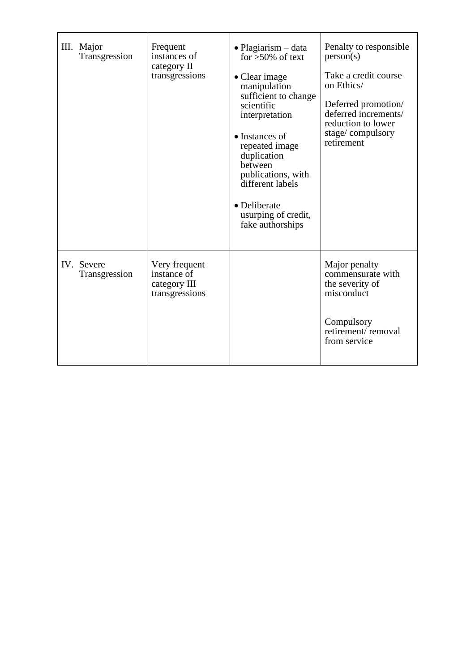| III. Major<br>Transgression | Frequent<br>instances of<br>category II<br>transgressions      | $\bullet$ Plagiarism – data<br>for $>50\%$ of text<br>• Clear image<br>manipulation<br>sufficient to change<br>scientific<br>interpretation<br>• Instances of<br>repeated image<br>duplication<br>between<br>publications, with<br>different labels<br>• Deliberate<br>usurping of credit,<br>fake authorships | Penalty to responsible<br>person(s)<br>Take a credit course<br>on Ethics/<br>Deferred promotion/<br>deferred increments/<br>reduction to lower<br>stage/compulsory<br>retirement |
|-----------------------------|----------------------------------------------------------------|----------------------------------------------------------------------------------------------------------------------------------------------------------------------------------------------------------------------------------------------------------------------------------------------------------------|----------------------------------------------------------------------------------------------------------------------------------------------------------------------------------|
| IV. Severe<br>Transgression | Very frequent<br>instance of<br>category III<br>transgressions |                                                                                                                                                                                                                                                                                                                | Major penalty<br>commensurate with<br>the severity of<br>misconduct<br>Compulsory<br>retirement/removal<br>from service                                                          |